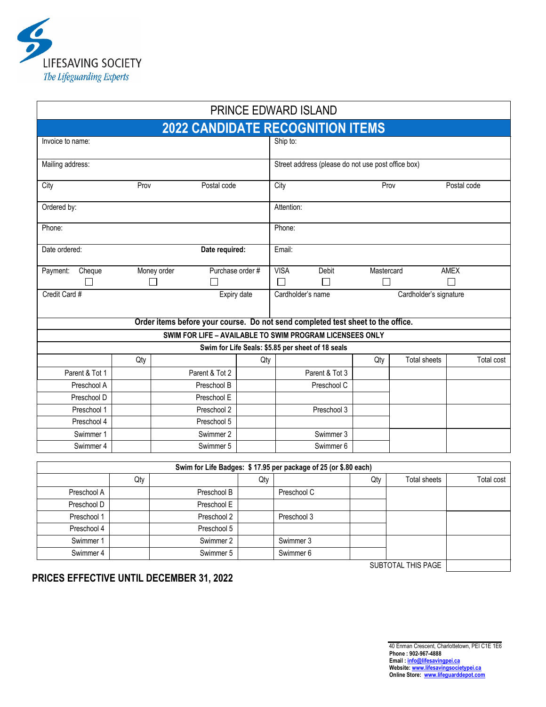

|                                                                                 |                                                          |                                                 |                |                       |            | PRINCE EDWARD ISLAND                               |                        |                     |            |  |
|---------------------------------------------------------------------------------|----------------------------------------------------------|-------------------------------------------------|----------------|-----------------------|------------|----------------------------------------------------|------------------------|---------------------|------------|--|
|                                                                                 |                                                          |                                                 |                |                       |            | <b>2022 CANDIDATE RECOGNITION ITEMS</b>            |                        |                     |            |  |
| Invoice to name:                                                                |                                                          |                                                 |                |                       | Ship to:   |                                                    |                        |                     |            |  |
| Mailing address:                                                                |                                                          |                                                 |                |                       |            | Street address (please do not use post office box) |                        |                     |            |  |
| City                                                                            |                                                          | Prov                                            |                | Postal code           |            |                                                    | Prov                   | Postal code         |            |  |
| Ordered by:                                                                     |                                                          |                                                 |                |                       | Attention: |                                                    |                        |                     |            |  |
| Phone:                                                                          |                                                          |                                                 |                |                       | Phone:     |                                                    |                        |                     |            |  |
| Date ordered:                                                                   | Date required:                                           |                                                 |                | Email:                |            |                                                    |                        |                     |            |  |
| Cheque<br>Payment:<br>$\blacksquare$                                            |                                                          | Purchase order #<br>Money order<br>$\mathsf{L}$ |                | <b>VISA</b><br>$\Box$ | Debit<br>П | Mastercard<br>$\Box$                               |                        | <b>AMEX</b><br>П    |            |  |
| Credit Card #<br>Expiry date<br>Cardholder's name                               |                                                          |                                                 |                |                       |            |                                                    | Cardholder's signature |                     |            |  |
| Order items before your course. Do not send completed test sheet to the office. |                                                          |                                                 |                |                       |            |                                                    |                        |                     |            |  |
|                                                                                 | SWIM FOR LIFE - AVAILABLE TO SWIM PROGRAM LICENSEES ONLY |                                                 |                |                       |            |                                                    |                        |                     |            |  |
|                                                                                 |                                                          |                                                 |                |                       |            | Swim for Life Seals: \$5.85 per sheet of 18 seals  |                        |                     |            |  |
|                                                                                 | Qty                                                      |                                                 |                | Qty                   |            |                                                    | Qty                    | <b>Total sheets</b> | Total cost |  |
| Parent & Tot 1                                                                  |                                                          |                                                 | Parent & Tot 2 |                       |            | Parent & Tot 3                                     |                        |                     |            |  |
| Preschool A                                                                     |                                                          |                                                 | Preschool B    |                       |            | Preschool C                                        |                        |                     |            |  |
| Preschool D                                                                     |                                                          |                                                 | Preschool E    |                       |            |                                                    |                        |                     |            |  |
| Preschool 1                                                                     |                                                          |                                                 | Preschool 2    |                       |            | Preschool 3                                        |                        |                     |            |  |
| Preschool 4                                                                     |                                                          |                                                 | Preschool 5    |                       |            |                                                    |                        |                     |            |  |
| Swimmer 1                                                                       |                                                          |                                                 | Swimmer 2      |                       |            | Swimmer 3                                          |                        |                     |            |  |
| Swimmer 4                                                                       |                                                          |                                                 | Swimmer 5      |                       |            | Swimmer 6                                          |                        |                     |            |  |
| Swim for Life Badges: \$17.95 per package of 25 (or \$.80 each)                 |                                                          |                                                 |                |                       |            |                                                    |                        |                     |            |  |
| <b>Total sheets</b><br>Qty<br>Total cost<br>Qty<br>Qty                          |                                                          |                                                 |                |                       |            |                                                    |                        |                     |            |  |
|                                                                                 |                                                          |                                                 | $\overline{a}$ |                       |            |                                                    |                        |                     |            |  |

|                                 | Qty |             | Qty |             | Qty | <b>Total sheets</b> | Total cost |  |
|---------------------------------|-----|-------------|-----|-------------|-----|---------------------|------------|--|
| Preschool A                     |     | Preschool B |     | Preschool C |     |                     |            |  |
| Preschool D                     |     | Preschool E |     |             |     |                     |            |  |
| Preschool 1                     |     | Preschool 2 |     | Preschool 3 |     |                     |            |  |
| Preschool 4                     |     | Preschool 5 |     |             |     |                     |            |  |
| Swimmer 1                       |     | Swimmer 2   |     | Swimmer 3   |     |                     |            |  |
| Swimmer 4                       |     | Swimmer 5   |     | Swimmer 6   |     |                     |            |  |
| - - - - - - - - - - - - - - - - |     |             |     |             |     |                     |            |  |

SUBTOTAL THIS PAGE

**PRICES EFFECTIVE UNTIL DECEMBER 31, 2022**